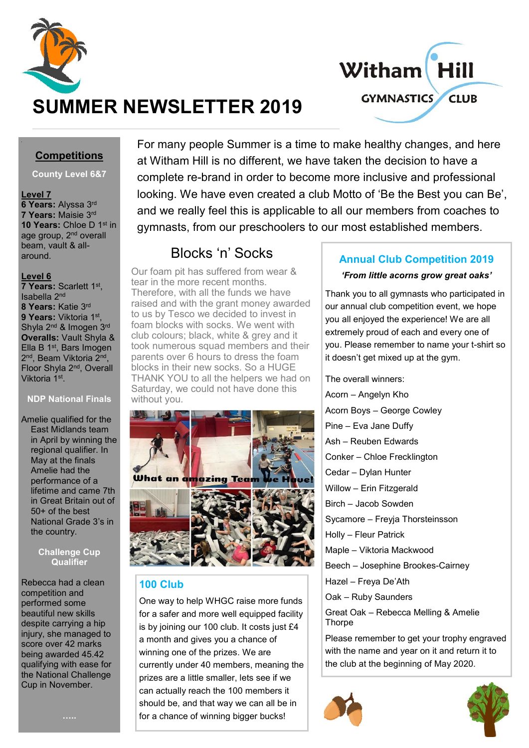



# **SUMMER NEWSLETTER 2019**

# **Competitions**

#### **County Level 6&7**

#### **Level 7**

**6 Years:** Alyssa 3rd **7 Years:** Maisie 3rd **10 Years:** Chloe D 1<sup>st</sup> in age group, 2<sup>nd</sup> overall beam, vault & allaround.

#### **Level 6**

**7 Years:** Scarlett 1st , Isabella 2nd **8 Years:** Katie 3rd **9 Years:** Viktoria 1st , Shyla 2<sup>nd</sup> & Imogen 3<sup>rd</sup> **Overalls:** Vault Shyla & Ella B 1st, Bars Imogen 2<sup>nd</sup>, Beam Viktoria 2<sup>nd</sup>, Floor Shyla 2nd, Overall Viktoria 1st.

#### **NDP National Finals**

Amelie qualified for the East Midlands team in April by winning the regional qualifier. In May at the finals Amelie had the performance of a lifetime and came 7th in Great Britain out of 50+ of the best National Grade 3's in the country.

#### **Challenge Cup Qualifier**

Rebecca had a clean competition and performed some beautiful new skills despite carrying a hip injury, she managed to score over 42 marks being awarded 45.42 qualifying with ease for the National Challenge Cup in November.

For many people Summer is a time to make healthy changes, and here at Witham Hill is no different, we have taken the decision to have a complete re-brand in order to become more inclusive and professional looking. We have even created a club Motto of 'Be the Best you can Be', and we really feel this is applicable to all our members from coaches to gymnasts, from our preschoolers to our most established members.

# Blocks 'n' Socks

Our foam pit has suffered from wear & tear in the more recent months. Therefore, with all the funds we have raised and with the grant money awarded to us by Tesco we decided to invest in foam blocks with socks. We went with club colours; black, white & grey and it took numerous squad members and their parents over 6 hours to dress the foam blocks in their new socks. So a HUGE THANK YOU to all the helpers we had on Saturday, we could not have done this without you.



# **100 Club**

One way to help WHGC raise more funds for a safer and more well equipped facility is by joining our 100 club. It costs just £4 a month and gives you a chance of winning one of the prizes. We are currently under 40 members, meaning the prizes are a little smaller, lets see if we can actually reach the 100 members it should be, and that way we can all be in for a chance of winning bigger bucks!

# **Annual Club Competition 2019**

#### *'From little acorns grow great oaks'*

Thank you to all gymnasts who participated in our annual club competition event, we hope you all enjoyed the experience! We are all extremely proud of each and every one of you. Please remember to name your t-shirt so it doesn't get mixed up at the gym.

The overall winners: Acorn – Angelyn Kho Acorn Boys – George Cowley Pine – Eva Jane Duffy Ash – Reuben Edwards Conker – Chloe Frecklington Cedar – Dylan Hunter Willow – Erin Fitzgerald Birch – Jacob Sowden Sycamore – Freyja Thorsteinsson Holly – Fleur Patrick Maple – Viktoria Mackwood Beech – Josephine Brookes-Cairney Hazel – Freya De'Ath Oak – Ruby Saunders Great Oak – Rebecca Melling & Amelie **Thorpe** 

Please remember to get your trophy engraved with the name and year on it and return it to the club at the beginning of May 2020.